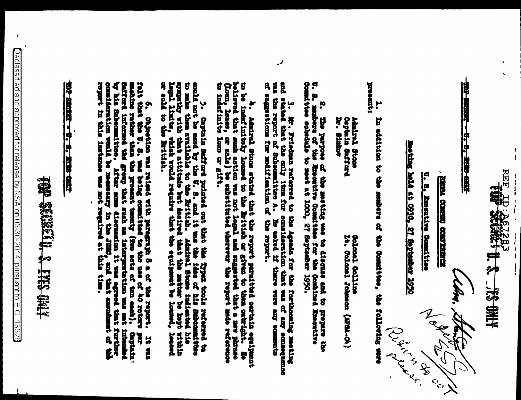**REF**  $\frac{1}{4}$ 

 $\frac{1}{l}$ 

 $\begin{array}{c} \begin{array}{c} \uparrow \\ \downarrow \\ \downarrow \\ \downarrow \end{array} & \begin{array}{c} \uparrow \\ \downarrow \\ \downarrow \\ \downarrow \end{array} \end{array}$ 

<u> 107 82612 - V. S. TKRO 6112</u>

**BEEN CORRECTEDED** 

U. S. Executive Committee

Moving hald at 0230, 27 Boptember 1920

lbra, **SULLER** 

appeart: ŗ In addition to the makers of the Committee, the following were

**N. States** Captain Safford Admiral Stone

> It. Colombi Johnson (APSA-04) **Golczo Lealism**

Comulttee schedule to meet at 1000, 27 September 1950. U. S. members of the Executive Committee for the the purpose of the meting was to discanse and to prepare the Combined Executive

3. Mr. Friedman referred to the Agenda for the formoming method particle of an interference method and the component of an experiment of the component of an experiment of the component of an experiment of the component of was the report of Subcommittee A. He asked if there were any come of support of Eulerstian of the report.

ر

to be indefinitely loaned to the British or given to them contright. No believed that such a continues or eals) be substituted where any loans, or eals) be substituted where the report made referred<br>(Loan, lease, or eals) ÷. Admiral Stone stated that the report parmitted cortain equipment

could not be used by the U. S. and it was the idea of his Subcommittes<br>to make them evailable to the Eritish. Admiral Stone indicated his<br>sympethy with that attitude but desired that the matter be hept within<br>legal limits, Y Coptain Safford pointed out that the requirement of the column referred

6. Objection was raised with prograph 8 a of the report. It was that the U. 8. was being countited to the use of 40 rotors por meahing rather than the present trendy (fro sets of the senior). Captainstands the group that andmark of the **Lithonia** Captain' **Et au** 

<u> 102 820 a. V. 8. XVI cair</u>

# **ARD CIAI & MITCHES COLLA**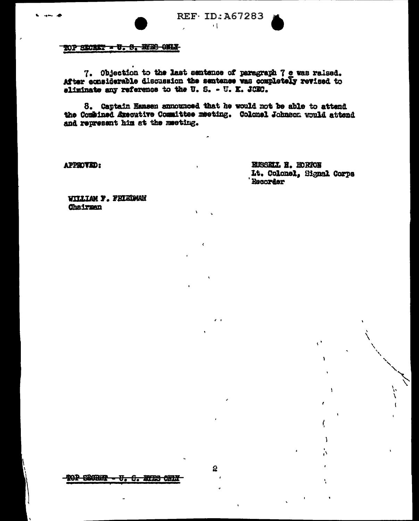

REF ID: A67283

 $\sim 1$ 

### TOP SECRET - U. S. BURG CHIX

7. Objection to the last sentence of paragraph 7 e was raised. After considerable discussion the sentence was completely revised to eliminate any reference to the U.S. - U.K. JOBC.

8. Cantain Hansen announced that he would not be able to attand the Combined Axecutive Committee meeting. Colonel Johnson would attend and represent him at the meeting.

**APPROVED:** 

RUSSELL R. HORTON Lt. Colonel. Signal Corps **Recorder** 

 $\mathcal{C}^{\mathcal{A}}$ 

x

ì

.<br>ا

**WILLIAM F. FRIEDMAN Chairman**